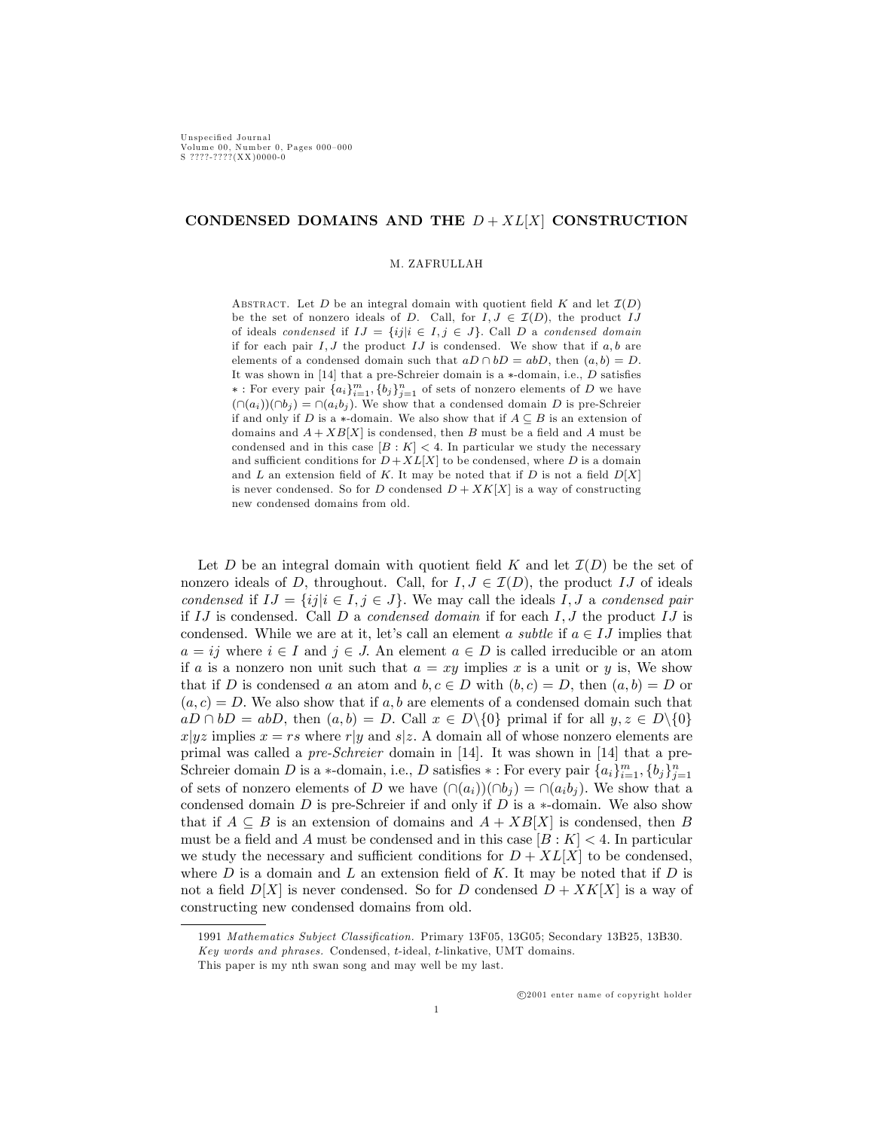# CONDENSED DOMAINS AND THE  $D + XL[X]$  CONSTRUCTION

### M. ZAFRULLAH

ABSTRACT. Let  $D$  be an integral domain with quotient field  $K$  and let  $\mathcal{I}(D)$ be the set of nonzero ideals of D. Call, for  $I, J \in \mathcal{I}(D)$ , the product IJ of ideals condensed if  $IJ = \{ij | i \in I, j \in J\}$ . Call D a condensed domain if for each pair  $I, J$  the product  $IJ$  is condensed. We show that if  $a, b$  are elements of a condensed domain such that  $aD \cap bD = abD$ , then  $(a, b) = D$ . It was shown in [14] that a pre-Schreier domain is a  $*$ -domain, i.e.,  $D$  satisfies  $*$ : For every pair  $\{a_i\}_{i=1}^m$ ,  $\{b_j\}_{j=1}^n$  of sets of nonzero elements of D we have  $(\cap (a_i))(\cap b_j) = \cap (a_ib_j)$ . We show that a condensed domain D is pre-Schreier if and only if D is a  $*$ -domain. We also show that if  $A \subseteq B$  is an extension of domains and  $A + XB[X]$  is condensed, then B must be a field and A must be condensed and in this case  $[B: K] < 4$ . In particular we study the necessary and sufficient conditions for  $D+XL[X]$  to be condensed, where D is a domain and L an extension field of K. It may be noted that if D is not a field  $D[X]$ is never condensed. So for D condensed  $D + XK[X]$  is a way of constructing new condensed domains from old.

Let D be an integral domain with quotient field K and let  $\mathcal{I}(D)$  be the set of nonzero ideals of D, throughout. Call, for  $I, J \in \mathcal{I}(D)$ , the product IJ of ideals condensed if  $IJ = \{ij | i \in I, j \in J\}$ . We may call the ideals I, J a condensed pair if IJ is condensed. Call D a *condensed domain* if for each  $I, J$  the product IJ is condensed. While we are at it, let's call an element a subtle if  $a \in IJ$  implies that  $a = ij$  where  $i \in I$  and  $j \in J$ . An element  $a \in D$  is called irreducible or an atom if a is a nonzero non unit such that  $a = xy$  implies x is a unit or y is, We show that if D is condensed a an atom and  $b, c \in D$  with  $(b, c) = D$ , then  $(a, b) = D$  or  $(a, c) = D$ . We also show that if a, b are elements of a condensed domain such that  $aD \cap bD = abD$ , then  $(a, b) = D$ . Call  $x \in D\backslash\{0\}$  primal if for all  $y, z \in D\backslash\{0\}$  $x|yz$  implies  $x = rs$  where r|y and s|z. A domain all of whose nonzero elements are primal was called a pre-Schreier domain in [14]. It was shown in [14] that a pre-Schreier domain D is a \*-domain, i.e., D satisfies \*: For every pair  $\{a_i\}_{i=1}^m$ ,  $\{b_j\}_{j=1}^n$ of sets of nonzero elements of D we have  $(\cap (a_i))(\cap b_j) = \cap (a_ib_j)$ . We show that a condensed domain  $D$  is pre-Schreier if and only if  $D$  is a  $*$ -domain. We also show that if  $A \subseteq B$  is an extension of domains and  $A + XB[X]$  is condensed, then B must be a field and A must be condensed and in this case  $[B : K] < 4$ . In particular we study the necessary and sufficient conditions for  $D + XL[X]$  to be condensed, where  $D$  is a domain and  $L$  an extension field of K. It may be noted that if  $D$  is not a field  $D[X]$  is never condensed. So for D condensed  $D + XK[X]$  is a way of constructing new condensed domains from old.

<sup>1991</sup> Mathematics Subject Classification. Primary 13F05, 13G05; Secondary 13B25, 13B30.

Key words and phrases. Condensed, t-ideal, t-linkative, UMT domains.

This paper is my nth swan song and may well be my last.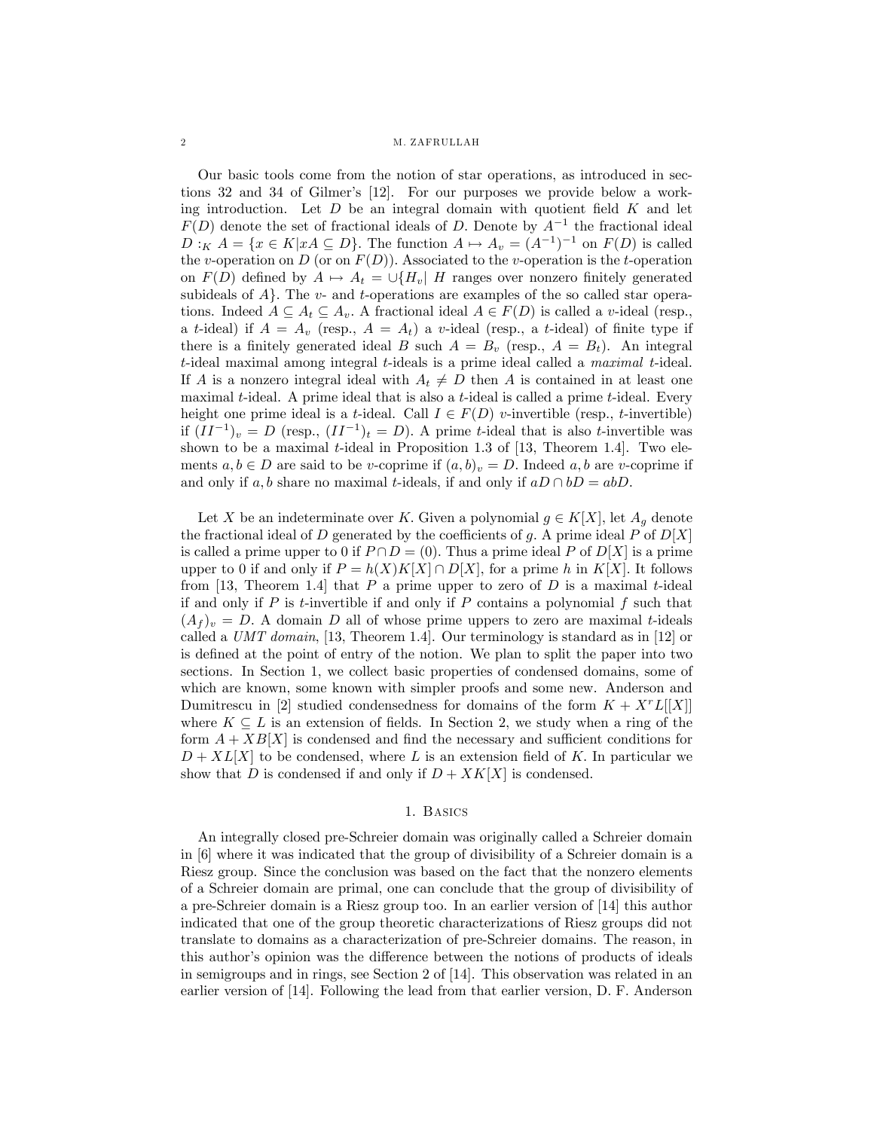2 M. ZAFRULLAH

Our basic tools come from the notion of star operations, as introduced in sections 32 and 34 of Gilmer's [12]. For our purposes we provide below a working introduction. Let  $D$  be an integral domain with quotient field  $K$  and let  $F(D)$  denote the set of fractional ideals of D. Denote by  $A^{-1}$  the fractional ideal  $D:_{K} A = \{x \in K | xA \subseteq D\}$ . The function  $A \mapsto A_{v} = (A^{-1})^{-1}$  on  $F(D)$  is called the v-operation on  $D$  (or on  $F(D)$ ). Associated to the v-operation is the t-operation on  $F(D)$  defined by  $A \mapsto A_t = \bigcup \{H_v | H$  ranges over nonzero finitely generated subideals of  $A$ . The v- and t-operations are examples of the so called star operations. Indeed  $A \subseteq A_t \subseteq A_v$ . A fractional ideal  $A \in F(D)$  is called a v-ideal (resp., a t-ideal) if  $A = A_v$  (resp.,  $A = A_t$ ) a v-ideal (resp., a t-ideal) of finite type if there is a finitely generated ideal B such  $A = B<sub>v</sub>$  (resp.,  $A = B<sub>t</sub>$ ). An integral t-ideal maximal among integral t-ideals is a prime ideal called a maximal t-ideal. If A is a nonzero integral ideal with  $A_t \neq D$  then A is contained in at least one maximal t-ideal. A prime ideal that is also a t-ideal is called a prime t-ideal. Every height one prime ideal is a t-ideal. Call  $I \in F(D)$  v-invertible (resp., t-invertible) if  $(II^{-1})_v = D$  (resp.,  $(II^{-1})_t = D$ ). A prime t-ideal that is also t-invertible was shown to be a maximal t-ideal in Proposition 1.3 of  $[13,$  Theorem 1.4. Two elements  $a, b \in D$  are said to be v-coprime if  $(a, b)_v = D$ . Indeed a, b are v-coprime if and only if a, b share no maximal t-ideals, if and only if  $aD \cap bD = abD$ .

Let X be an indeterminate over K. Given a polynomial  $g \in K[X]$ , let  $A_g$  denote the fractional ideal of D generated by the coefficients of g. A prime ideal P of  $D[X]$ is called a prime upper to 0 if  $P \cap D = (0)$ . Thus a prime ideal P of  $D[X]$  is a prime upper to 0 if and only if  $P = h(X)K[X] \cap D[X]$ , for a prime h in K[X]. It follows from [13, Theorem 1.4] that  $P$  a prime upper to zero of  $D$  is a maximal t-ideal if and only if  $P$  is t-invertible if and only if  $P$  contains a polynomial  $f$  such that  $(A_f)_v = D.$  A domain D all of whose prime uppers to zero are maximal t-ideals called a UMT domain, [13, Theorem 1.4]. Our terminology is standard as in [12] or is defined at the point of entry of the notion. We plan to split the paper into two sections. In Section 1, we collect basic properties of condensed domains, some of which are known, some known with simpler proofs and some new. Anderson and Dumitrescu in [2] studied condensedness for domains of the form  $K + X^r L[[X]]$ where  $K \subseteq L$  is an extension of fields. In Section 2, we study when a ring of the form  $A + XB[X]$  is condensed and find the necessary and sufficient conditions for  $D + XL[X]$  to be condensed, where L is an extension field of K. In particular we show that D is condensed if and only if  $D + XK[X]$  is condensed.

## 1. Basics

An integrally closed pre-Schreier domain was originally called a Schreier domain in [6] where it was indicated that the group of divisibility of a Schreier domain is a Riesz group. Since the conclusion was based on the fact that the nonzero elements of a Schreier domain are primal, one can conclude that the group of divisibility of a pre-Schreier domain is a Riesz group too. In an earlier version of [14] this author indicated that one of the group theoretic characterizations of Riesz groups did not translate to domains as a characterization of pre-Schreier domains. The reason, in this author's opinion was the difference between the notions of products of ideals in semigroups and in rings, see Section 2 of [14]. This observation was related in an earlier version of [14]. Following the lead from that earlier version, D. F. Anderson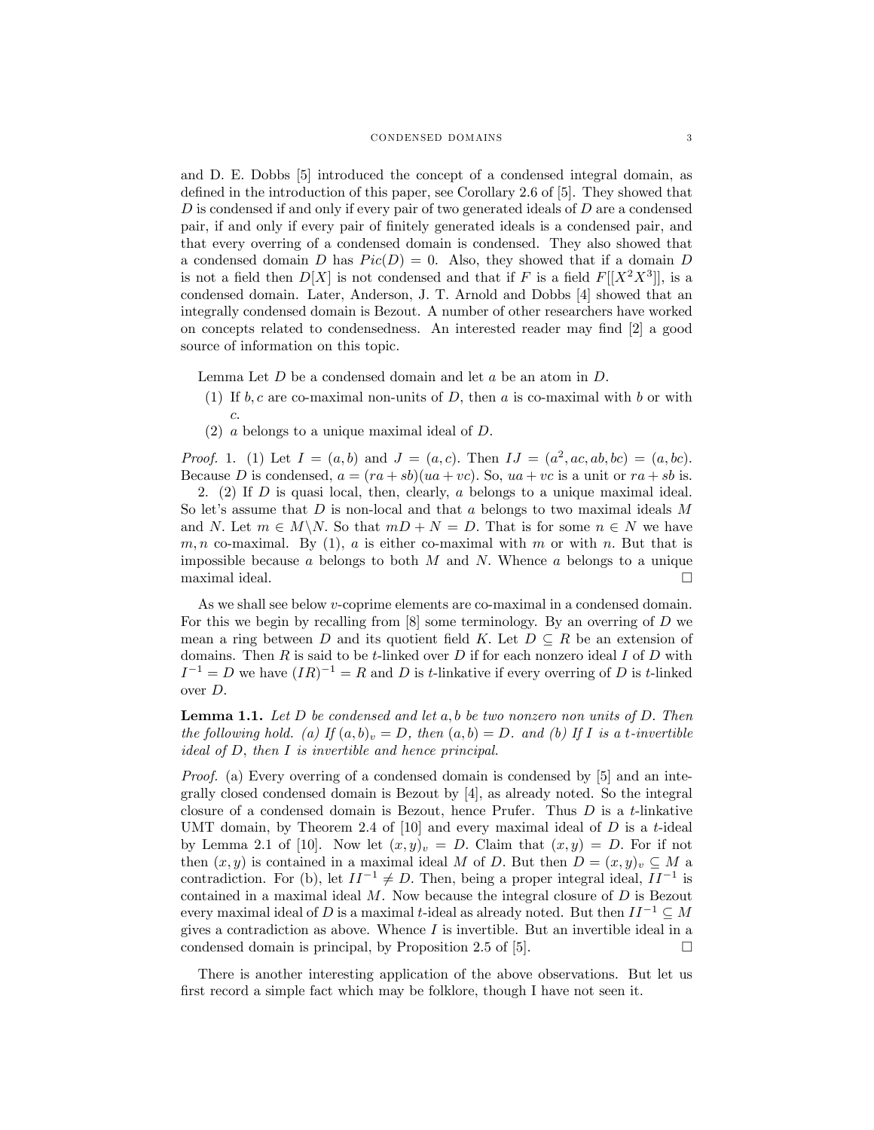and D. E. Dobbs [5] introduced the concept of a condensed integral domain, as defined in the introduction of this paper, see Corollary 2.6 of  $[5]$ . They showed that  $D$  is condensed if and only if every pair of two generated ideals of  $D$  are a condensed pair, if and only if every pair of Önitely generated ideals is a condensed pair, and that every overring of a condensed domain is condensed. They also showed that a condensed domain D has  $Pic(D) = 0$ . Also, they showed that if a domain D is not a field then  $D[X]$  is not condensed and that if F is a field  $F[[X^2X^3]]$ , is a condensed domain. Later, Anderson, J. T. Arnold and Dobbs [4] showed that an integrally condensed domain is Bezout. A number of other researchers have worked on concepts related to condensedness. An interested reader may find [2] a good source of information on this topic.

Lemma Let  $D$  be a condensed domain and let  $a$  be an atom in  $D$ .

- (1) If  $b, c$  are co-maximal non-units of D, then a is co-maximal with b or with c:
- $(2)$  a belongs to a unique maximal ideal of D.

*Proof.* 1. (1) Let  $I = (a, b)$  and  $J = (a, c)$ . Then  $IJ = (a^2, ac, ab, bc) = (a, bc)$ . Because D is condensed,  $a = (ra + sb)(ua + vc)$ . So,  $ua + vc$  is a unit or  $ra + sb$  is.

2. (2) If  $D$  is quasi local, then, clearly,  $a$  belongs to a unique maximal ideal. So let's assume that  $D$  is non-local and that  $a$  belongs to two maximal ideals  $M$ and N. Let  $m \in M\backslash N$ . So that  $mD + N = D$ . That is for some  $n \in N$  we have m, n co-maximal. By (1), a is either co-maximal with m or with n. But that is impossible because a belongs to both  $M$  and  $N$ . Whence a belongs to a unique maximal ideal.  $\Box$ 

As we shall see below v-coprime elements are co-maximal in a condensed domain. For this we begin by recalling from [8] some terminology. By an overring of D we mean a ring between D and its quotient field K. Let  $D \subseteq R$  be an extension of domains. Then  $R$  is said to be t-linked over  $D$  if for each nonzero ideal  $I$  of  $D$  with  $I^{-1} = D$  we have  $(IR)^{-1} = R$  and D is t-linkative if every overring of D is t-linked over D:

**Lemma 1.1.** Let  $D$  be condensed and let  $a, b$  be two nonzero non units of  $D$ . Then the following hold. (a) If  $(a, b)_v = D$ , then  $(a, b) = D$ . and (b) If I is a t-invertible ideal of D, then I is invertible and hence principal.

Proof. (a) Every overring of a condensed domain is condensed by [5] and an integrally closed condensed domain is Bezout by [4], as already noted. So the integral closure of a condensed domain is Bezout, hence Prufer. Thus  $D$  is a t-linkative UMT domain, by Theorem 2.4 of  $[10]$  and every maximal ideal of D is a t-ideal by Lemma 2.1 of [10]. Now let  $(x, y)_v = D$ . Claim that  $(x, y) = D$ . For if not then  $(x, y)$  is contained in a maximal ideal M of D. But then  $D = (x, y)_v \subseteq M$  a contradiction. For (b), let  $II^{-1} \neq D$ . Then, being a proper integral ideal,  $II^{-1}$  is contained in a maximal ideal  $M$ . Now because the integral closure of  $D$  is Bezout every maximal ideal of D is a maximal t-ideal as already noted. But then  $II^{-1} \subseteq M$ gives a contradiction as above. Whence I is invertible. But an invertible ideal in a condensed domain is principal, by Proposition 2.5 of [5].  $\Box$ 

There is another interesting application of the above observations. But let us first record a simple fact which may be folklore, though I have not seen it.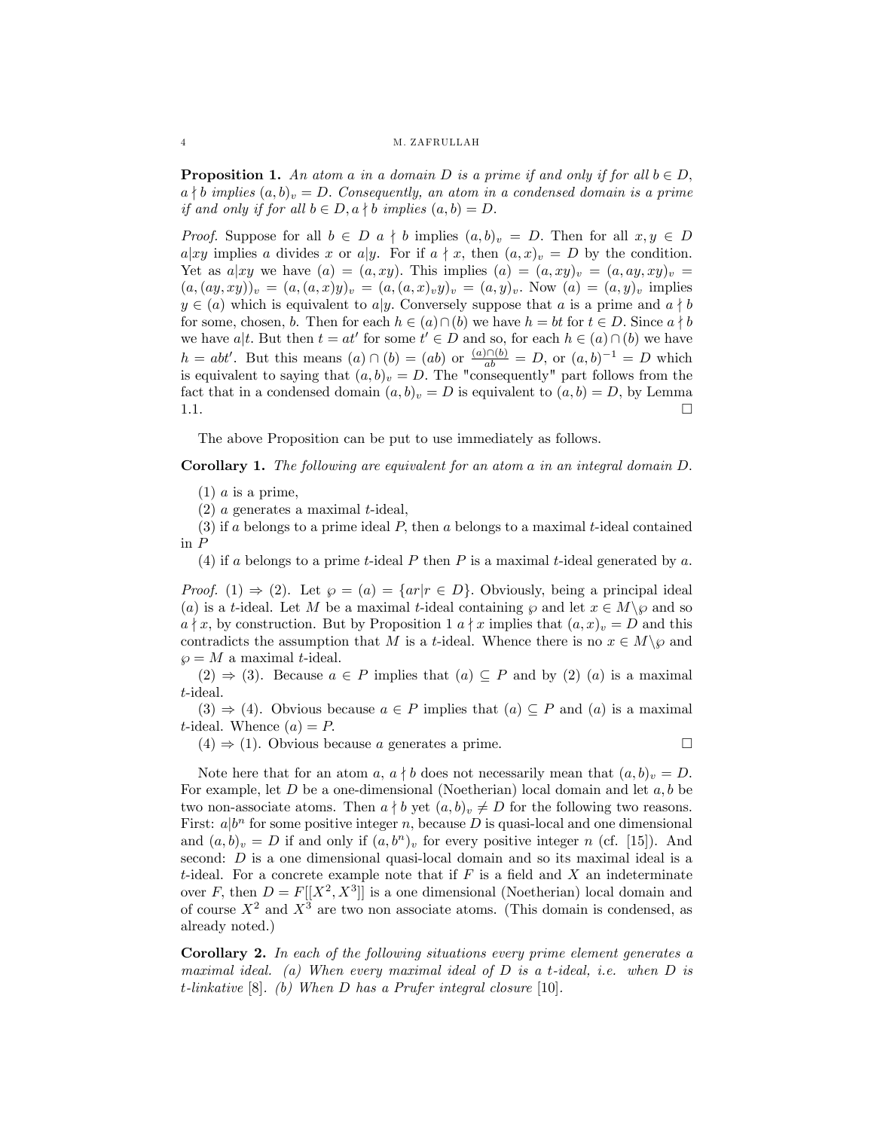#### 4 M. ZAFRULLAH

**Proposition 1.** An atom a in a domain D is a prime if and only if for all  $b \in D$ ,  $a \nmid b$  implies  $(a, b)_v = D$ . Consequently, an atom in a condensed domain is a prime if and only if for all  $b \in D$ ,  $a \nmid b$  implies  $(a, b) = D$ .

*Proof.* Suppose for all  $b \in D$  a  $\nmid b$  implies  $(a, b)_v = D$ . Then for all  $x, y \in D$  $a|xy$  implies a divides x or a|y. For if  $a \nmid x$ , then  $(a, x)_v = D$  by the condition. Yet as  $a|xy$  we have  $(a) = (a, xy)$ . This implies  $(a) = (a, xy)_v = (a, ay, xy)_v = (a, ay, xy)_v$  $(a, (ay, xy))_v = (a, (a, x)y)_v = (a, (a, x)_v y)_v = (a, y)_v$ . Now  $(a) = (a, y)_v$  implies  $y \in (a)$  which is equivalent to a y. Conversely suppose that a is a prime and  $a \nmid b$ for some, chosen, b. Then for each  $h \in (a) \cap (b)$  we have  $h = bt$  for  $t \in D$ . Since  $a \nmid b$ we have  $a|t$ . But then  $t = at'$  for some  $t' \in D$  and so, for each  $h \in (a) \cap (b)$  we have  $h = abt'$ . But this means  $(a) \cap (b) = (ab)$  or  $\frac{(a) \cap (b)}{ab} = D$ , or  $(a, b)^{-1} = D$  which is equivalent to saying that  $(a, b)_v = D$ . The "consequently" part follows from the fact that in a condensed domain  $(a, b)_v = D$  is equivalent to  $(a, b) = D$ , by Lemma 1.1.  $\Box$ 

The above Proposition can be put to use immediately as follows.

## Corollary 1. The following are equivalent for an atom a in an integral domain D.

 $(1)$  *a* is a prime,

 $(2)$  a generates a maximal t-ideal,

(3) if a belongs to a prime ideal  $P$ , then a belongs to a maximal t-ideal contained in P

(4) if a belongs to a prime t-ideal P then P is a maximal t-ideal generated by a.

*Proof.* (1)  $\Rightarrow$  (2). Let  $\wp = (a) = \{ar|r \in D\}$ . Obviously, being a principal ideal (a) is a t-ideal. Let M be a maximal t-ideal containing  $\wp$  and let  $x \in M \setminus \wp$  and so  $a \nmid x$ , by construction. But by Proposition 1  $a \nmid x$  implies that  $(a, x)_v = D$  and this contradicts the assumption that M is a t-ideal. Whence there is no  $x \in M \backslash \wp$  and  $\wp = M$  a maximal t-ideal.

 $(2) \Rightarrow (3)$ . Because  $a \in P$  implies that  $(a) \subseteq P$  and by  $(2)$   $(a)$  is a maximal t-ideal.

 $(3) \Rightarrow (4)$ . Obvious because  $a \in P$  implies that  $(a) \subseteq P$  and  $(a)$  is a maximal t-ideal. Whence  $(a) = P$ .

 $(4) \Rightarrow (1)$ . Obvious because a generates a prime.

$$
\qquad \qquad \Box
$$

Note here that for an atom a,  $a \nmid b$  does not necessarily mean that  $(a, b)_v = D$ . For example, let  $D$  be a one-dimensional (Noetherian) local domain and let  $a, b$  be two non-associate atoms. Then  $a \nmid b$  yet  $(a, b)_v \neq D$  for the following two reasons. First:  $a|b^n$  for some positive integer n, because D is quasi-local and one dimensional and  $(a, b)_v = D$  if and only if  $(a, b^n)_v$  for every positive integer n (cf. [15]). And second: D is a one dimensional quasi-local domain and so its maximal ideal is a t-ideal. For a concrete example note that if  $F$  is a field and  $X$  an indeterminate over F, then  $D = F[[X^2, X^3]]$  is a one dimensional (Noetherian) local domain and of course  $X^2$  and  $X^3$  are two non associate atoms. (This domain is condensed, as already noted.)

Corollary 2. In each of the following situations every prime element generates a maximal ideal. (a) When every maximal ideal of  $D$  is a t-ideal, i.e. when  $D$  is t-linkative  $[8]$ . (b) When D has a Prufer integral closure  $[10]$ .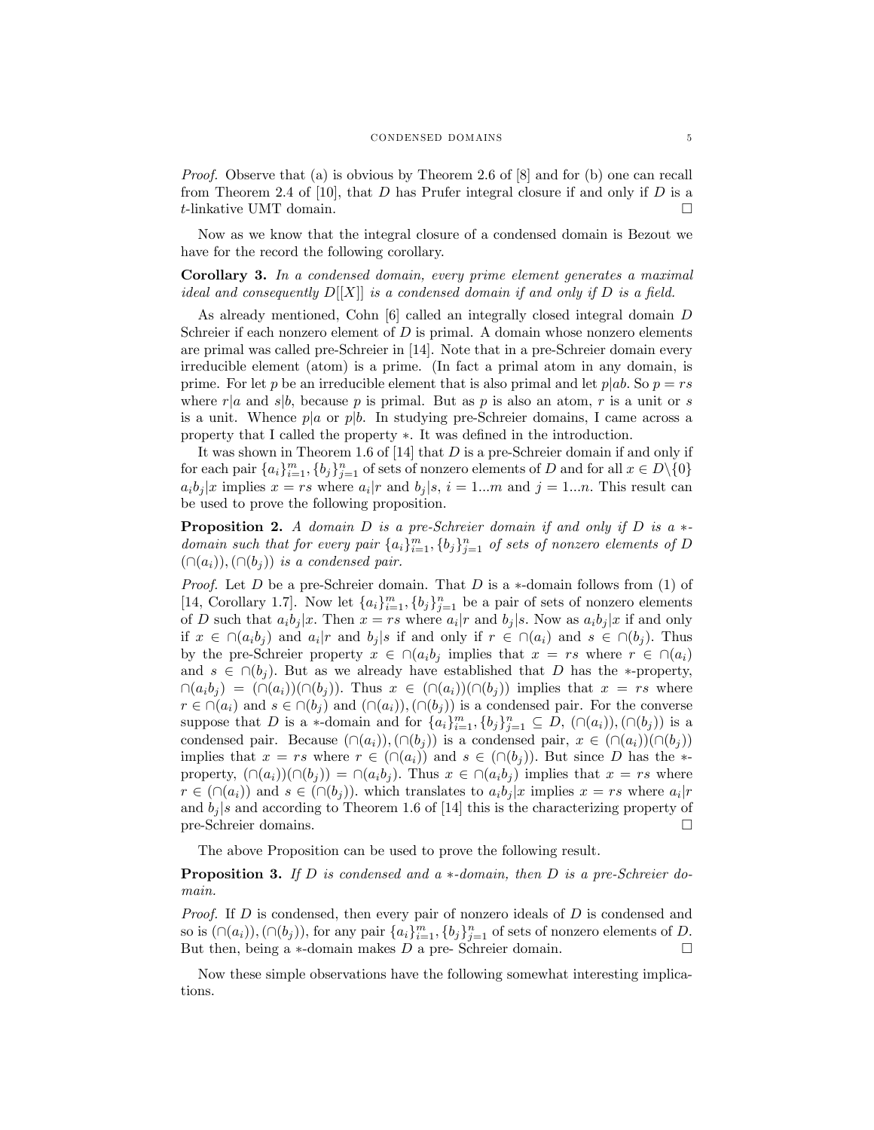Proof. Observe that (a) is obvious by Theorem 2.6 of [8] and for (b) one can recall from Theorem 2.4 of [10], that D has Prufer integral closure if and only if D is a t-linkative UMT domain.

Now as we know that the integral closure of a condensed domain is Bezout we have for the record the following corollary.

Corollary 3. In a condensed domain, every prime element generates a maximal ideal and consequently  $D[[X]]$  is a condensed domain if and only if D is a field.

As already mentioned, Cohn [6] called an integrally closed integral domain D Schreier if each nonzero element of  $D$  is primal. A domain whose nonzero elements are primal was called pre-Schreier in [14]. Note that in a pre-Schreier domain every irreducible element (atom) is a prime. (In fact a primal atom in any domain, is prime. For let p be an irreducible element that is also primal and let  $p|ab$ . So  $p = rs$ where  $r|a$  and  $s|b$ , because p is primal. But as p is also an atom, r is a unit or s is a unit. Whence  $p|a$  or  $p|b$ . In studying pre-Schreier domains, I came across a property that I called the property  $\ast$ . It was defined in the introduction.

It was shown in Theorem 1.6 of  $[14]$  that D is a pre-Schreier domain if and only if for each pair  $\{a_i\}_{i=1}^m$ ,  $\{b_j\}_{j=1}^n$  of sets of nonzero elements of D and for all  $x \in D \setminus \{0\}$  $a_i b_j | x$  implies  $x = rs$  where  $a_i | r$  and  $b_j | s, i = 1...m$  and  $j = 1...n$ . This result can be used to prove the following proposition.

**Proposition 2.** A domain D is a pre-Schreier domain if and only if D is a  $*$ domain such that for every pair  $\{a_i\}_{i=1}^m$ ,  $\{b_j\}_{j=1}^n$  of sets of nonzero elements of D  $(\cap(a_i)),(\cap(b_i))$  is a condensed pair.

*Proof.* Let D be a pre-Schreier domain. That D is a  $*$ -domain follows from (1) of [14, Corollary 1.7]. Now let  $\{a_i\}_{i=1}^m$ ,  $\{b_j\}_{j=1}^n$  be a pair of sets of nonzero elements of D such that  $a_i b_j | x$ . Then  $x = rs$  where  $a_i | r$  and  $b_j | s$ . Now as  $a_i b_j | x$  if and only if  $x \in \cap (a_i b_j)$  and  $a_i | r$  and  $b_j | s$  if and only if  $r \in \cap (a_i)$  and  $s \in \cap (b_j)$ . Thus by the pre-Schreier property  $x \in \cap (a_i b_j)$  implies that  $x = rs$  where  $r \in \cap (a_i)$ and  $s \in \bigcap (b_i)$ . But as we already have established that D has the \*-property,  $\bigcap(a_ib_j) = \big(\bigcap(a_i)\big)(\bigcap(b_j)\big)$ . Thus  $x \in (\bigcap(a_i)\big)(\bigcap(b_j))$  implies that  $x = rs$  where  $r \in \cap (a_i)$  and  $s \in \cap (b_j)$  and  $(\cap (a_i)),(\cap (b_j))$  is a condensed pair. For the converse suppose that D is a \*-domain and for  $\{a_i\}_{i=1}^m$ ,  $\{b_j\}_{j=1}^n \subseteq D$ ,  $(\cap(a_i))$ ,  $(\cap(b_j))$  is a condensed pair. Because  $(\cap (a_i)),(\cap (b_j))$  is a condensed pair,  $x \in (\cap (a_i))(\cap (b_j))$ implies that  $x = rs$  where  $r \in (\cap (a_i))$  and  $s \in (\cap (b_j))$ . But since D has the  $*$ property,  $(\cap (a_i))(\cap (b_j)) = \cap (a_ib_j)$ . Thus  $x \in \cap (a_ib_j )$  implies that  $x = rs$  where  $r \in (\cap (a_i))$  and  $s \in (\cap (b_j))$ . which translates to  $a_i b_j |x$  implies  $x = rs$  where  $a_i |r$ and  $b_j$  is and according to Theorem 1.6 of [14] this is the characterizing property of pre-Schreier domains pre-Schreier domains.

The above Proposition can be used to prove the following result.

**Proposition 3.** If D is condensed and a  $*$ -domain, then D is a pre-Schreier domain.

*Proof.* If  $D$  is condensed, then every pair of nonzero ideals of  $D$  is condensed and so is  $(\cap (a_i)), (\cap (b_j)),$  for any pair  $\{a_i\}_{i=1}^m$ ,  $\{b_j\}_{j=1}^n$  of sets of nonzero elements of D. But then, being a  $*$ -domain makes  $D$  a pre-Schreier domain.

Now these simple observations have the following somewhat interesting implications.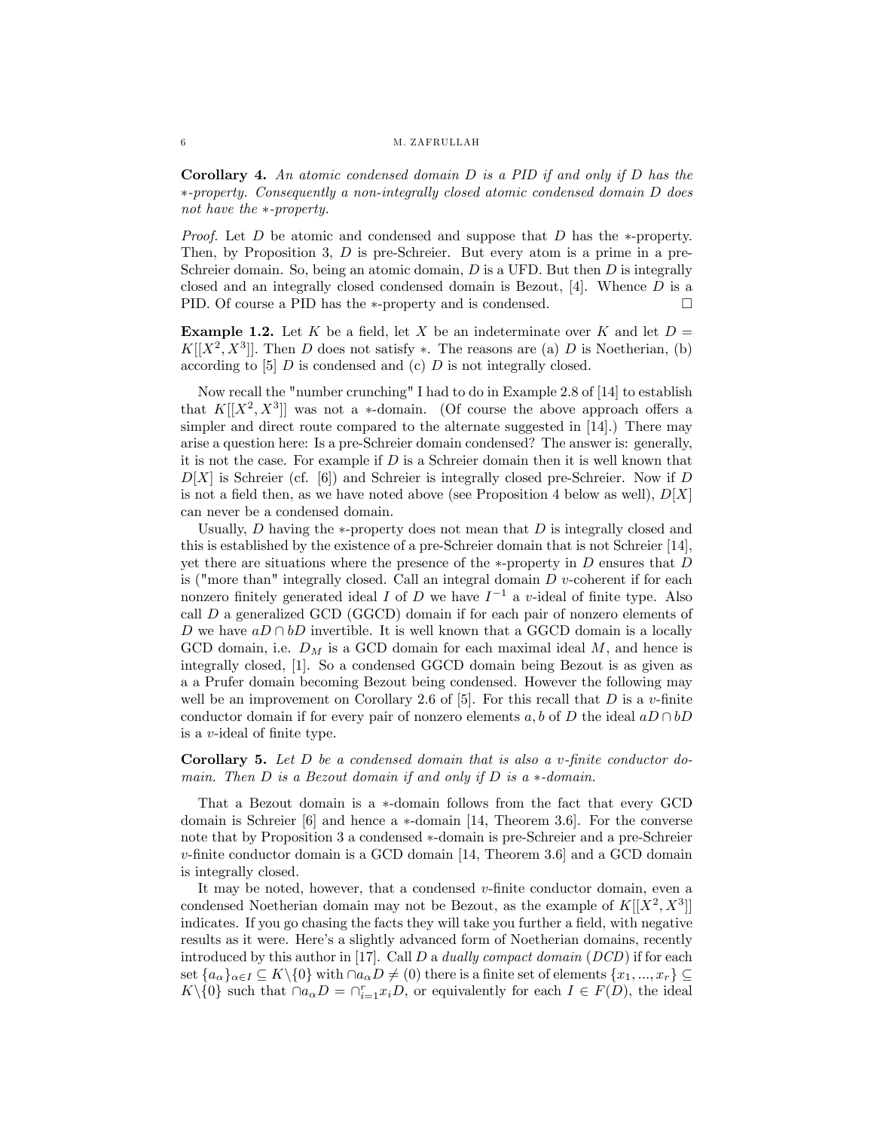Corollary 4. An atomic condensed domain D is a PID if and only if D has the -property. Consequently a non-integrally closed atomic condensed domain D does not have the  $*$ -property.

*Proof.* Let  $D$  be atomic and condensed and suppose that  $D$  has the \*-property. Then, by Proposition 3, D is pre-Schreier. But every atom is a prime in a pre-Schreier domain. So, being an atomic domain,  $D$  is a UFD. But then  $D$  is integrally closed and an integrally closed condensed domain is Bezout,  $[4]$ . Whence D is a PID. Of course a PID has the  $\ast$ -property and is condensed.  $\Box$ 

**Example 1.2.** Let K be a field, let X be an indeterminate over K and let  $D =$  $K[[X^2, X^3]]$ . Then D does not satisfy \*. The reasons are (a) D is Noetherian, (b) according to  $[5]$  D is condensed and  $(c)$  D is not integrally closed.

Now recall the "number crunching" I had to do in Example 2.8 of [14] to establish that  $K[[X^2, X^3]]$  was not a  $*$ -domain. (Of course the above approach offers a simpler and direct route compared to the alternate suggested in [14].) There may arise a question here: Is a pre-Schreier domain condensed? The answer is: generally, it is not the case. For example if  $D$  is a Schreier domain then it is well known that  $D[X]$  is Schreier (cf. [6]) and Schreier is integrally closed pre-Schreier. Now if D is not a field then, as we have noted above (see Proposition 4 below as well),  $D[X]$ can never be a condensed domain.

Usually,  $D$  having the  $*$ -property does not mean that  $D$  is integrally closed and this is established by the existence of a pre-Schreier domain that is not Schreier [14], yet there are situations where the presence of the  $*$ -property in D ensures that D is ("more than" integrally closed. Call an integral domain  $D$  v-coherent if for each nonzero finitely generated ideal  $I$  of  $D$  we have  $I^{-1}$  a v-ideal of finite type. Also call D a generalized GCD (GGCD) domain if for each pair of nonzero elements of D we have  $aD \cap bD$  invertible. It is well known that a GGCD domain is a locally GCD domain, i.e.  $D_M$  is a GCD domain for each maximal ideal M, and hence is integrally closed, [1]. So a condensed GGCD domain being Bezout is as given as a a Prufer domain becoming Bezout being condensed. However the following may well be an improvement on Corollary 2.6 of [5]. For this recall that  $D$  is a v-finite conductor domain if for every pair of nonzero elements a, b of D the ideal  $aD \cap bD$ is a  $v$ -ideal of finite type.

Corollary 5. Let  $D$  be a condensed domain that is also a v-finite conductor domain. Then  $D$  is a Bezout domain if and only if  $D$  is a  $\ast$ -domain.

That a Bezout domain is a  $*$ -domain follows from the fact that every GCD domain is Schreier  $[6]$  and hence a  $*$ -domain [14, Theorem 3.6]. For the converse note that by Proposition 3 a condensed \*-domain is pre-Schreier and a pre-Schreier  $v$ -finite conductor domain is a GCD domain [14, Theorem 3.6] and a GCD domain is integrally closed.

It may be noted, however, that a condensed  $v$ -finite conductor domain, even a condensed Noetherian domain may not be Bezout, as the example of  $K[[X^2, X^3]]$ indicates. If you go chasing the facts they will take you further a field, with negative results as it were. Here's a slightly advanced form of Noetherian domains, recently introduced by this author in [17]. Call  $D$  a *dually compact domain* ( $DCD$ ) if for each set  $\{a_{\alpha}\}_{{\alpha}\in I}\subseteq K\setminus\{0\}$  with  $\cap a_{\alpha}D\neq (0)$  there is a finite set of elements  $\{x_1,...,x_r\}\subseteq$  $K \setminus \{0\}$  such that  $\cap a_{\alpha}D = \cap_{i=1}^{r} x_i D$ , or equivalently for each  $I \in F(D)$ , the ideal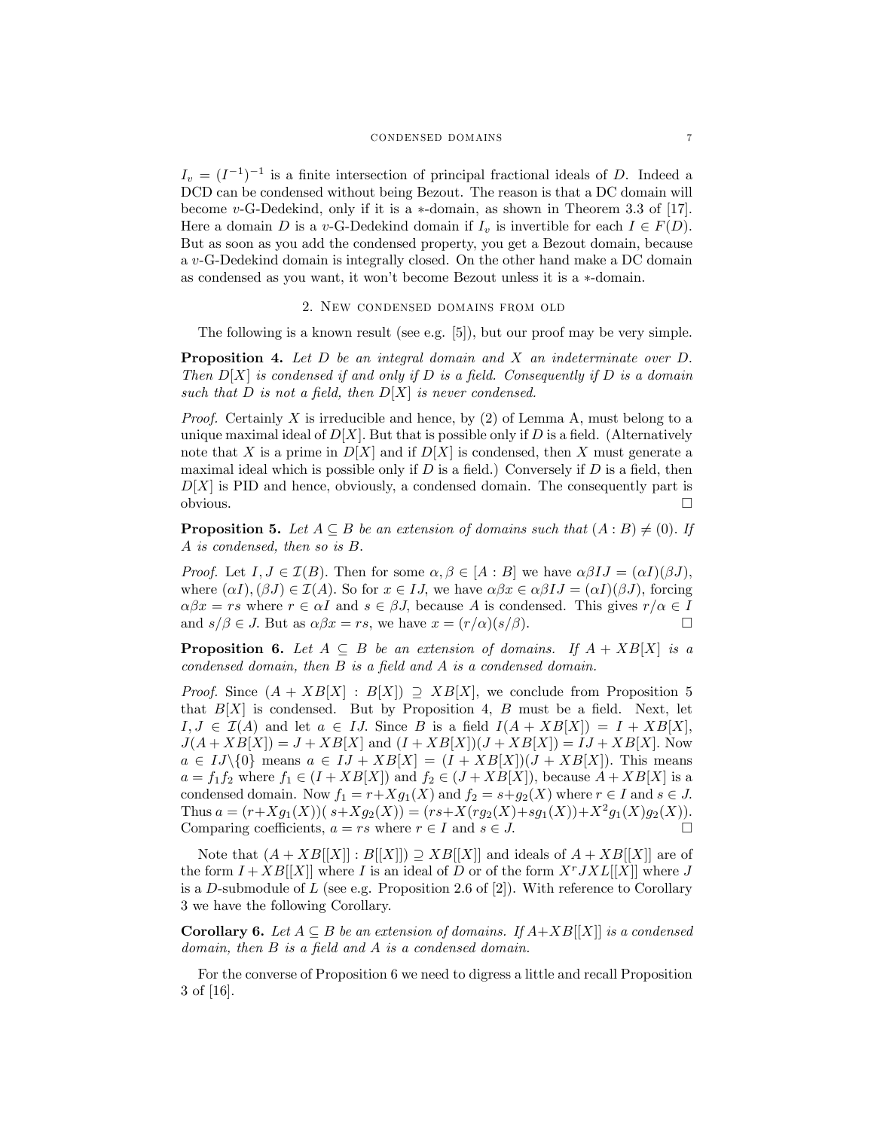$I_v = (I^{-1})^{-1}$  is a finite intersection of principal fractional ideals of D. Indeed a DCD can be condensed without being Bezout. The reason is that a DC domain will become v-G-Dedekind, only if it is a  $*$ -domain, as shown in Theorem 3.3 of [17]. Here a domain D is a v-G-Dedekind domain if  $I_v$  is invertible for each  $I \in F(D)$ . But as soon as you add the condensed property, you get a Bezout domain, because a v-G-Dedekind domain is integrally closed. On the other hand make a DC domain as condensed as you want, it won't become Bezout unless it is a  $\ast$ -domain.

# 2. New condensed domains from old

The following is a known result (see e.g. [5]), but our proof may be very simple.

**Proposition 4.** Let  $D$  be an integral domain and  $X$  an indeterminate over  $D$ . Then  $D[X]$  is condensed if and only if D is a field. Consequently if D is a domain such that D is not a field, then  $D[X]$  is never condensed.

*Proof.* Certainly X is irreducible and hence, by  $(2)$  of Lemma A, must belong to a unique maximal ideal of  $D[X]$ . But that is possible only if D is a field. (Alternatively note that X is a prime in  $D[X]$  and if  $D[X]$  is condensed, then X must generate a maximal ideal which is possible only if  $D$  is a field.) Conversely if  $D$  is a field, then  $D[X]$  is PID and hence, obviously, a condensed domain. The consequently part is obvious.  $\Box$ 

**Proposition 5.** Let  $A \subseteq B$  be an extension of domains such that  $(A : B) \neq (0)$ . If A is condensed, then so is B:

*Proof.* Let  $I, J \in \mathcal{I}(B)$ . Then for some  $\alpha, \beta \in [A : B]$  we have  $\alpha\beta IJ = (\alpha I)(\beta J)$ , where  $(\alpha I), (\beta J) \in \mathcal{I}(A)$ . So for  $x \in IJ$ , we have  $\alpha \beta x \in \alpha \beta IJ = (\alpha I)(\beta J)$ , forcing  $\alpha\beta x = rs$  where  $r \in \alpha I$  and  $s \in \beta J$ , because A is condensed. This gives  $r/\alpha \in I$ <br>and  $s/\beta \in J$ . But as  $\alpha\beta x = rs$ , we have  $x = (r/\alpha)(s/\beta)$ . and  $s/\beta \in J$ . But as  $\alpha \beta x = rs$ , we have  $x = (r/\alpha)(s/\beta)$ .

**Proposition 6.** Let  $A \subseteq B$  be an extension of domains. If  $A + XB[X]$  is a condensed domain, then  $B$  is a field and  $A$  is a condensed domain.

*Proof.* Since  $(A + XB[X] : B[X]) \supset XB[X]$ , we conclude from Proposition 5 that  $B[X]$  is condensed. But by Proposition 4, B must be a field. Next, let  $I, J \in \mathcal{I}(A)$  and let  $a \in IJ$ . Since B is a field  $I(A + XB[X]) = I + XB[X],$  $J(A+XB[X]) = J+XB[X]$  and  $(I+XB[X])(J+XB[X]) = IJ+XB[X]$ . Now  $a \in IJ\setminus\{0\}$  means  $a \in IJ + XB[X] = (I + XB[X])(J + XB[X])$ . This means  $a = f_1 f_2$  where  $f_1 \in (I + XB[X])$  and  $f_2 \in (J + XB[X])$ , because  $A + XB[X]$  is a condensed domain. Now  $f_1 = r + Xg_1(X)$  and  $f_2 = s + g_2(X)$  where  $r \in I$  and  $s \in J$ . Thus  $a = (r+Xg_1(X))(s+Xg_2(X)) = (rs+X(rg_2(X)+sg_1(X))+X^2g_1(X)g_2(X)).$ Comparing coefficients,  $a = rs$  where  $r \in I$  and  $s \in J$ .

Note that  $(A+XB[[X]] : B[[X]]) \supseteq XB[[X]]$  and ideals of  $A+XB[[X]]$  are of the form  $I + XB[[X]]$  where I is an ideal of D or of the form  $X^rJXL[[X]]$  where J is a D-submodule of  $L$  (see e.g. Proposition 2.6 of [2]). With reference to Corollary 3 we have the following Corollary.

**Corollary 6.** Let  $A \subseteq B$  be an extension of domains. If  $A+XB[[X]]$  is a condensed domain, then  $B$  is a field and  $A$  is a condensed domain.

For the converse of Proposition 6 we need to digress a little and recall Proposition 3 of [16].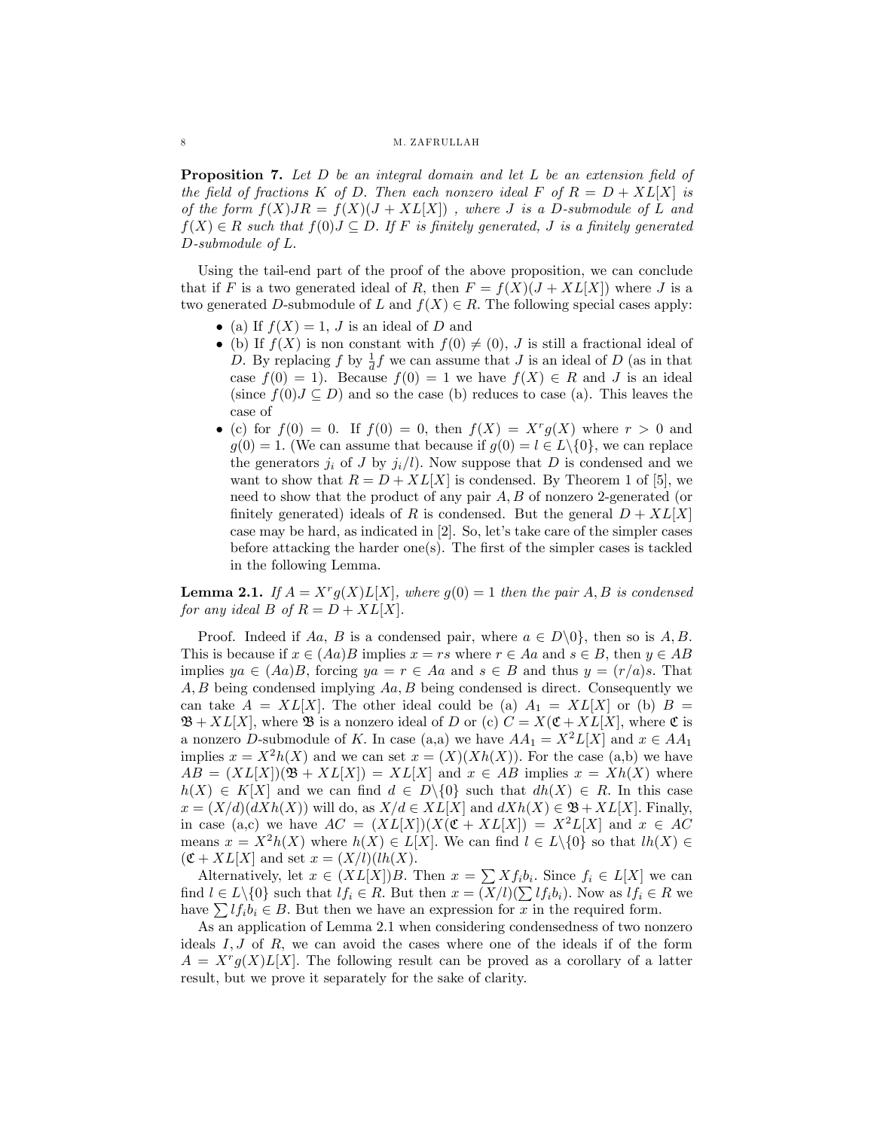**Proposition 7.** Let  $D$  be an integral domain and let  $L$  be an extension field of the field of fractions K of D. Then each nonzero ideal F of  $R = D + XL[X]$  is of the form  $f(X)JR = f(X)(J + XL[X])$ , where J is a D-submodule of L and  $f(X) \in R$  such that  $f(0)J \subseteq D$ . If F is finitely generated, J is a finitely generated D-submodule of L:

Using the tail-end part of the proof of the above proposition, we can conclude that if F is a two generated ideal of R, then  $F = f(X)(J + XL[X])$  where J is a two generated D-submodule of L and  $f(X) \in R$ . The following special cases apply:

- (a) If  $f(X) = 1$ , J is an ideal of D and
- (b) If  $f(X)$  is non constant with  $f(0) \neq (0)$ , J is still a fractional ideal of D. By replacing f by  $\frac{1}{d}f$  we can assume that J is an ideal of D (as in that case  $f(0) = 1$ . Because  $f(0) = 1$  we have  $f(X) \in R$  and J is an ideal (since  $f(0)J \subseteq D$ ) and so the case (b) reduces to case (a). This leaves the case of
- (c) for  $f(0) = 0$ . If  $f(0) = 0$ , then  $f(X) = X^r g(X)$  where  $r > 0$  and  $g(0) = 1.$  (We can assume that because if  $g(0) = l \in L \setminus \{0\}$ , we can replace the generators  $j_i$  of J by  $j_i/l$ ). Now suppose that D is condensed and we want to show that  $R = D + XL[X]$  is condensed. By Theorem 1 of [5], we need to show that the product of any pair  $A, B$  of nonzero 2-generated (or finitely generated) ideals of R is condensed. But the general  $D + XL|X|$ case may be hard, as indicated in  $[2]$ . So, let's take care of the simpler cases before attacking the harder one(s). The first of the simpler cases is tackled in the following Lemma.

**Lemma 2.1.** If  $A = X^r g(X) L[X]$ , where  $g(0) = 1$  then the pair A, B is condensed for any ideal B of  $R = D + XL[X]$ .

Proof. Indeed if Aa, B is a condensed pair, where  $a \in D\backslash 0$ , then so is A, B. This is because if  $x \in (Aa)B$  implies  $x = rs$  where  $r \in Aa$  and  $s \in B$ , then  $y \in AB$ implies  $ya \in (Aa)B$ , forcing  $ya = r \in Aa$  and  $s \in B$  and thus  $y = (r/a)s$ . That  $A, B$  being condensed implying  $Aa, B$  being condensed is direct. Consequently we can take  $A = XL[X]$ . The other ideal could be (a)  $A_1 = XL[X]$  or (b)  $B =$  $\mathfrak{B} + XL[X]$ , where  $\mathfrak{B}$  is a nonzero ideal of D or (c)  $C = X(\mathfrak{C} + XL[X]$ , where  $\mathfrak{C}$  is a nonzero D-submodule of K. In case (a,a) we have  $AA_1 = X^2L[X]$  and  $x \in AA_1$ implies  $x = X^2h(X)$  and we can set  $x = (X)(Xh(X))$ . For the case (a,b) we have  $AB = (XL[X])(\mathfrak{B} + XL[X]) = XL[X]$  and  $x \in AB$  implies  $x = Xh(X)$  where  $h(X) \in K[X]$  and we can find  $d \in D\backslash\{0\}$  such that  $dh(X) \in R$ . In this case  $x = (X/d)(dXh(X))$  will do, as  $X/d \in XL[X]$  and  $dXh(X) \in \mathfrak{B} + XL[X]$ . Finally, in case (a,c) we have  $AC = (XL[X])(X(\mathfrak{C} + XL[X]) = X^2L[X]$  and  $x \in AC$ means  $x = X^2h(X)$  where  $h(X) \in L[X]$ . We can find  $l \in L \setminus \{0\}$  so that  $lh(X) \in$  $(\mathfrak{C} + XL[X]$  and set  $x = (X/l)(lh(X)).$ 

Alternatively, let  $x \in (XL[X])B$ . Then  $x = \sum Xf_ib_i$ . Since  $f_i \in L[X]$  we can find  $l \in L \setminus \{0\}$  such that  $lf_i \in R$ . But then  $x = (X/l)(\sum l f_i b_i)$ . Now as  $lf_i \in R$  we have  $\sum l f_i b_i \in B$ . But then we have an expression for x in the required form.

As an application of Lemma 2.1 when considering condensedness of two nonzero ideals  $I, J$  of  $R$ , we can avoid the cases where one of the ideals if of the form  $A = X^{r} g(X) L[X]$ . The following result can be proved as a corollary of a latter result, but we prove it separately for the sake of clarity.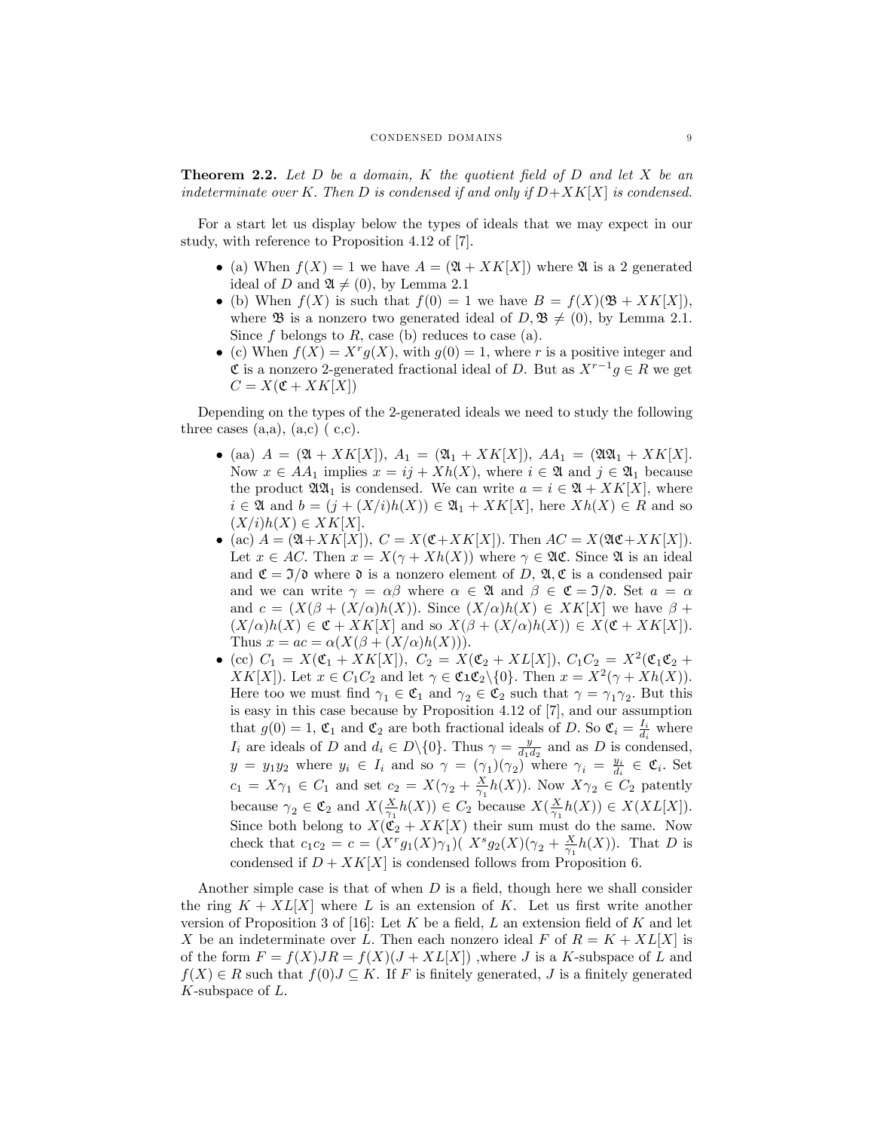**Theorem 2.2.** Let  $D$  be a domain,  $K$  the quotient field of  $D$  and let  $X$  be an indeterminate over K. Then D is condensed if and only if  $D+XK[X]$  is condensed.

For a start let us display below the types of ideals that we may expect in our study, with reference to Proposition 4.12 of [7].

- (a) When  $f(X) = 1$  we have  $A = (\mathfrak{A} + XK[X])$  where  $\mathfrak{A}$  is a 2 generated ideal of D and  $\mathfrak{A} \neq (0)$ , by Lemma 2.1
- (b) When  $f(X)$  is such that  $f(0) = 1$  we have  $B = f(X)(\mathfrak{B} + XK[X]),$ where **B** is a nonzero two generated ideal of  $D, \mathfrak{B} \neq (0)$ , by Lemma 2.1. Since f belongs to R, case (b) reduces to case (a).
- (c) When  $f(X) = X^r g(X)$ , with  $g(0) = 1$ , where r is a positive integer and  $\mathfrak{C}$  is a nonzero 2-generated fractional ideal of D. But as  $X^{r-1}g \in R$  we get  $C = X(\mathfrak{C} + XK[X])$

Depending on the types of the 2-generated ideals we need to study the following three cases  $(a,a)$ ,  $(a,c)$   $(c,c)$ .

- (aa)  $A = (\mathfrak{A} + XK[X]), A_1 = (\mathfrak{A}_1 + XK[X]), A_1 = (\mathfrak{A}\mathfrak{A}_1 + XK[X]).$ Now  $x \in AA_1$  implies  $x = ij + Xh(X)$ , where  $i \in \mathfrak{A}$  and  $j \in \mathfrak{A}_1$  because the product  $\mathfrak{A}\mathfrak{A}_1$  is condensed. We can write  $a = i \in \mathfrak{A} + XK[X]$ , where  $i \in \mathfrak{A}$  and  $b = (j + (X/i)h(X)) \in \mathfrak{A}_1 + XK[X]$ , here  $Xh(X) \in R$  and so  $(X/i)h(X) \in XK[X].$
- (ac)  $A = (\mathfrak{A} + XK[X]), C = X(\mathfrak{C} + XK[X]).$  Then  $AC = X(\mathfrak{A}\mathfrak{C} + XK[X]).$ Let  $x \in AC$ . Then  $x = X(\gamma + Xh(X))$  where  $\gamma \in \mathfrak{AC}$ . Since  $\mathfrak{A}$  is an ideal and  $\mathfrak{C} = \mathfrak{I}/\mathfrak{d}$  where  $\mathfrak{d}$  is a nonzero element of D,  $\mathfrak{A}, \mathfrak{C}$  is a condensed pair and we can write  $\gamma = \alpha \beta$  where  $\alpha \in \mathfrak{A}$  and  $\beta \in \mathfrak{C} = \mathfrak{I}/\mathfrak{d}$ . Set  $a = \alpha$ and  $c = (X(\beta + (X/\alpha)h(X))$ . Since  $(X/\alpha)h(X) \in KK[X]$  we have  $\beta +$  $(X/\alpha)h(X) \in \mathfrak{C} + XK[X]$  and so  $X(\beta + (X/\alpha)h(X)) \in X(\mathfrak{C} + XK[X]).$ Thus  $x = ac = \alpha(X(\beta + (X/\alpha)h(X))).$
- $(c) C_1 = X(\mathfrak{C}_1 + XK[X]), C_2 = X(\mathfrak{C}_2 + XL[X]), C_1C_2 = X^2(\mathfrak{C}_1\mathfrak{C}_2 + XL[X])$  $XK[X]$ . Let  $x \in C_1C_2$  and let  $\gamma \in \mathfrak{CLC}_2 \setminus \{0\}$ . Then  $x = X^2(\gamma + Xh(X))$ . Here too we must find  $\gamma_1 \in \mathfrak{C}_1$  and  $\gamma_2 \in \mathfrak{C}_2$  such that  $\gamma = \gamma_1 \gamma_2$ . But this is easy in this case because by Proposition 4.12 of [7], and our assumption that  $g(0) = 1$ ,  $\mathfrak{C}_1$  and  $\mathfrak{C}_2$  are both fractional ideals of D. So  $\mathfrak{C}_i = \frac{I_i}{d_i}$  where  $I_i$  are ideals of D and  $d_i \in D \setminus \{0\}$ . Thus  $\gamma = \frac{y}{d_1 d_2}$  and as D is condensed,  $y = y_1 y_2$  where  $y_i \in I_i$  and so  $\gamma = (\gamma_1)(\gamma_2)^T$  where  $\gamma_i = \frac{y_i}{d_i} \in \mathfrak{C}_i$ . Set  $c_1 = X\gamma_1 \in C_1$  and set  $c_2 = X(\gamma_2 + \frac{X}{\gamma_1}h(X))$ . Now  $X\gamma_2 \in C_2$  patently because  $\gamma_2 \in \mathfrak{C}_2$  and  $X(\frac{X}{\gamma_1}h(X)) \in C_2$  because  $X(\frac{X}{\gamma_1}h(X)) \in X(XL[X]).$ Since both belong to  $X(\mathfrak{C}_2 + XK[X])$  their sum must do the same. Now check that  $c_1c_2 = c = (X^r g_1(X)\gamma_1)(X^s g_2(X)(\gamma_2 + \frac{X}{\gamma_1}h(X))$ . That D is condensed if  $D + XK[X]$  is condensed follows from Proposition 6.

Another simple case is that of when  $D$  is a field, though here we shall consider the ring  $K + XL[X]$  where L is an extension of K. Let us first write another version of Proposition 3 of [16]: Let K be a field, L an extension field of K and let X be an indeterminate over L. Then each nonzero ideal F of  $R = K + XL[X]$  is of the form  $F = f(X)JR = f(X)(J + XL[X])$ , where J is a K-subspace of L and  $f(X) \in R$  such that  $f(0) \subset K$ . If F is finitely generated, J is a finitely generated K-subspace of L.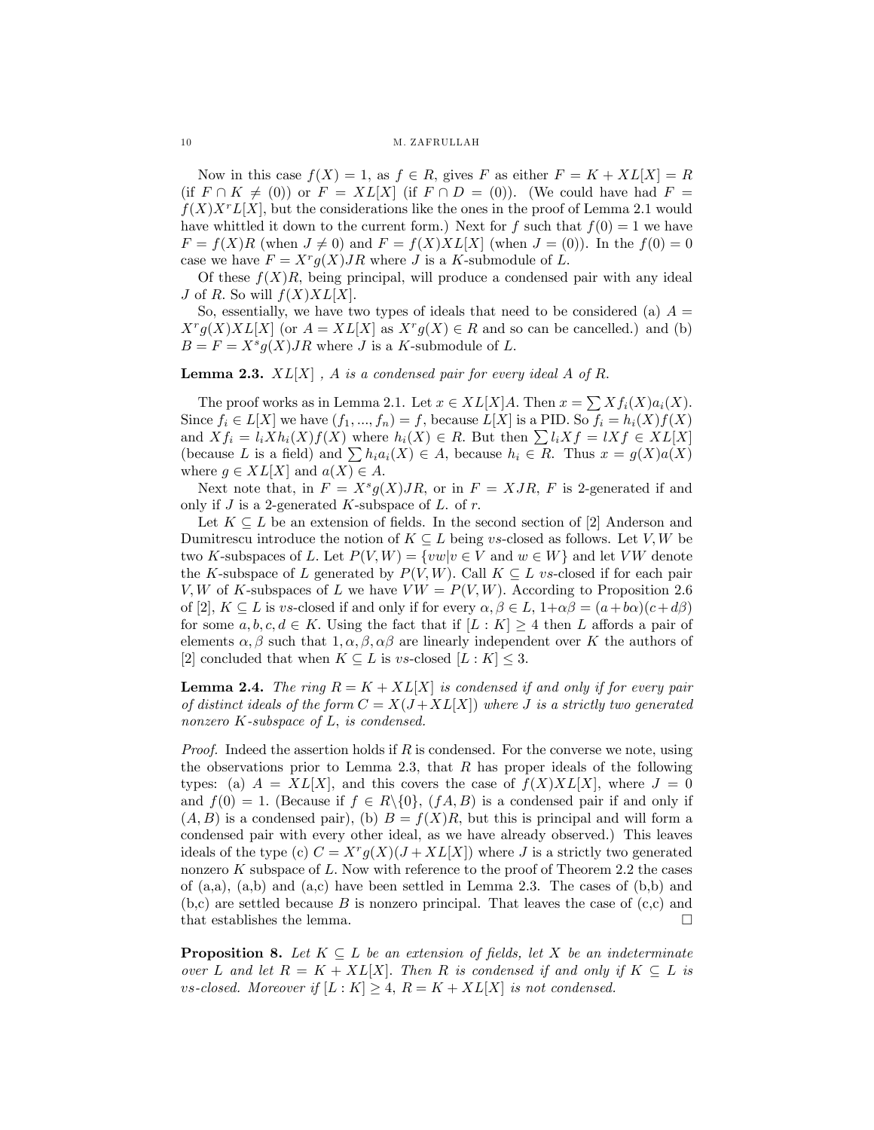#### 10 M. ZAFRULLAH

Now in this case  $f(X) = 1$ , as  $f \in R$ , gives F as either  $F = K + XL[X] = R$ (if  $F \cap K \neq (0)$ ) or  $F = XL[X]$  (if  $F \cap D = (0)$ ). (We could have had  $F =$  $f(X)X^rL[X]$ , but the considerations like the ones in the proof of Lemma 2.1 would have whittled it down to the current form.) Next for f such that  $f(0) = 1$  we have  $F = f(X)R$  (when  $J \neq 0$ ) and  $F = f(X)XL[X]$  (when  $J = (0)$ ). In the  $f(0) = 0$ case we have  $F = X^r g(X) J R$  where J is a K-submodule of L.

Of these  $f(X)R$ , being principal, will produce a condensed pair with any ideal J of R. So will  $f(X)XL[X]$ .

So, essentially, we have two types of ideals that need to be considered (a)  $A =$  $X^r g(X)XL[X]$  (or  $A = XL[X]$  as  $X^r g(X) \in R$  and so can be cancelled.) and (b)  $B = F = X^s g(X) J R$  where J is a K-submodule of L.

**Lemma 2.3.**  $XL[X]$ , A is a condensed pair for every ideal A of R.

The proof works as in Lemma 2.1. Let  $x \in XL[X]A$ . Then  $x = \sum_{i} Xf_i(X)a_i(X)$ . Since  $f_i \in L[X]$  we have  $(f_1, ..., f_n) = f$ , because  $L[X]$  is a PID. So  $f_i = h_i(X)f(X)$ and  $Xf_i = l_iXh_i(X)f(X)$  where  $h_i(X) \in R$ . But then  $\sum l_iXf = lXf \in XL[X]$ (because L is a field) and  $\sum h_i a_i(X) \in A$ , because  $h_i \in R$ . Thus  $x = g(X)a(X)$ where  $g \in XL[X]$  and  $a(X) \in A$ .

Next note that, in  $F = X^s g(X) J R$ , or in  $F = X J R$ , F is 2-generated if and only if  $J$  is a 2-generated  $K$ -subspace of  $L$ . of  $r$ .

Let  $K \subseteq L$  be an extension of fields. In the second section of [2] Anderson and Dumitrescu introduce the notion of  $K \subseteq L$  being vs-closed as follows. Let V, W be two K-subspaces of L. Let  $P(V, W) = \{vw|v \in V \text{ and } w \in W\}$  and let VW denote the K-subspace of L generated by  $P(V, W)$ . Call  $K \subseteq L$  vs-closed if for each pair V; W of K-subspaces of L we have  $VW = P(V, W)$ . According to Proposition 2.6 of [2],  $K \subseteq L$  is vs-closed if and only if for every  $\alpha, \beta \in L$ ,  $1+\alpha\beta = (a+b\alpha)(c+d\beta)$ for some  $a, b, c, d \in K$ . Using the fact that if  $[L : K] \geq 4$  then L affords a pair of elements  $\alpha, \beta$  such that  $1, \alpha, \beta, \alpha\beta$  are linearly independent over K the authors of [2] concluded that when  $K \subseteq L$  is vs-closed  $[L : K] \leq 3$ .

**Lemma 2.4.** The ring  $R = K + XL[X]$  is condensed if and only if for every pair of distinct ideals of the form  $C = X(J+XL[X])$  where J is a strictly two generated nonzero  $K$ -subspace of  $L$ , is condensed.

*Proof.* Indeed the assertion holds if  $R$  is condensed. For the converse we note, using the observations prior to Lemma 2.3, that  $R$  has proper ideals of the following types: (a)  $A = XL[X]$ , and this covers the case of  $f(X)XL[X]$ , where  $J = 0$ and  $f(0) = 1$ . (Because if  $f \in R \setminus \{0\}$ ,  $(fA, B)$  is a condensed pair if and only if  $(A, B)$  is a condensed pair), (b)  $B = f(X)R$ , but this is principal and will form a condensed pair with every other ideal, as we have already observed.) This leaves ideals of the type (c)  $C = X^r g(X)(J + XL[X])$  where J is a strictly two generated nonzero  $K$  subspace of  $L$ . Now with reference to the proof of Theorem 2.2 the cases of  $(a,a)$ ,  $(a,b)$  and  $(a,c)$  have been settled in Lemma 2.3. The cases of  $(b,b)$  and  $(b, c)$  are settled because B is nonzero principal. That leaves the case of  $(c, c)$  and that establishes the lemma.

**Proposition 8.** Let  $K \subseteq L$  be an extension of fields, let X be an indeterminate over L and let  $R = K + XL[X]$ . Then R is condensed if and only if  $K \subseteq L$  is vs-closed. Moreover if  $[L: K] \geq 4$ ,  $R = K + XL[X]$  is not condensed.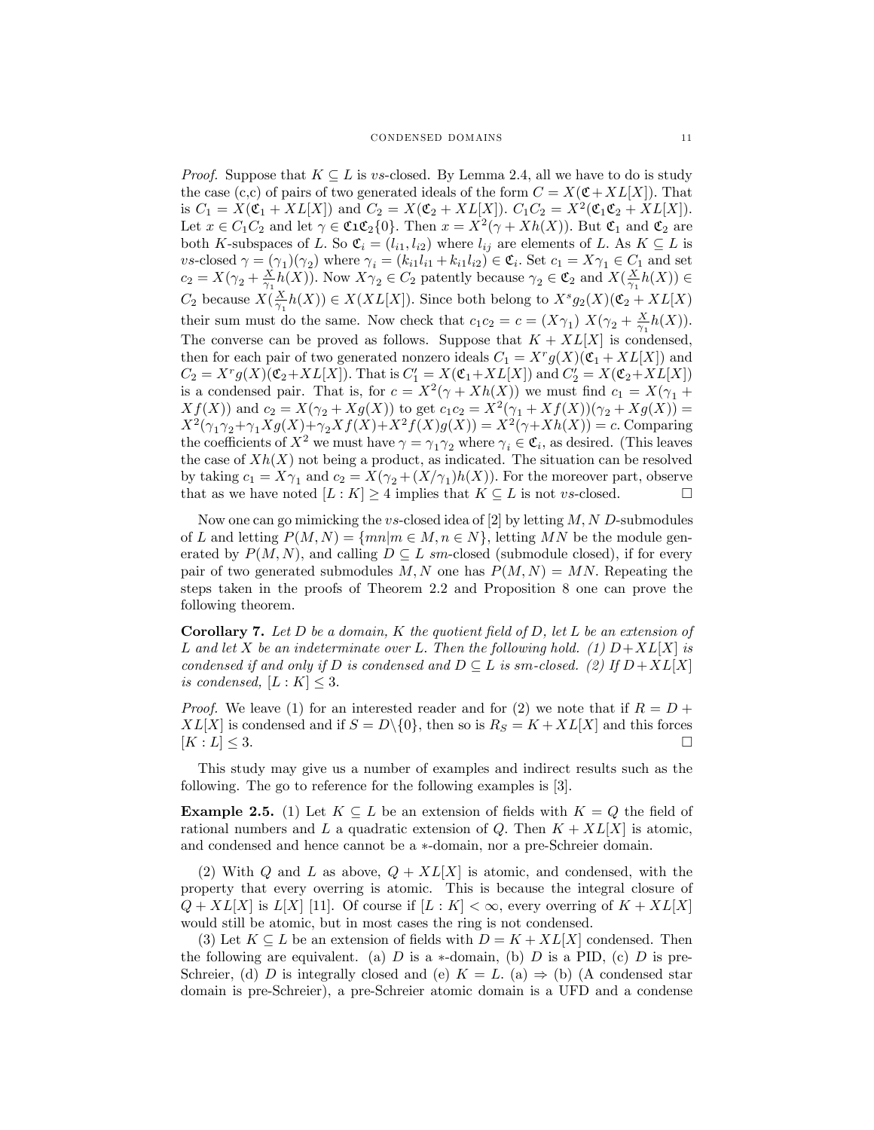*Proof.* Suppose that  $K \subseteq L$  is vs-closed. By Lemma 2.4, all we have to do is study the case (c,c) of pairs of two generated ideals of the form  $C = X(\mathfrak{C} + XL[X])$ . That is  $C_1 = X(\mathfrak{C}_1 + XL[X])$  and  $C_2 = X(\mathfrak{C}_2 + XL[X])$ .  $C_1C_2 = X^2(\mathfrak{C}_1\mathfrak{C}_2 + XL[X])$ . Let  $x \in C_1C_2$  and let  $\gamma \in \mathfrak{CLC}_2\{0\}$ . Then  $x = X^2(\gamma + Xh(X))$ . But  $\mathfrak{C}_1$  and  $\mathfrak{C}_2$  are both K-subspaces of L. So  $\mathfrak{C}_i = (l_{i1}, l_{i2})$  where  $l_{ij}$  are elements of L. As  $K \subseteq L$  is vs-closed  $\gamma = (\gamma_1)(\gamma_2)$  where  $\gamma_i = (k_{i1}l_{i1} + k_{i1}l_{i2}) \in \mathfrak{C}_i$ . Set  $c_1 = X\gamma_1 \in C_1$  and set  $c_2 = X(\gamma_2 + \frac{X}{\gamma_1} h(X))$ . Now  $X \gamma_2 \in C_2$  patently because  $\gamma_2 \in \mathfrak{C}_2$  and  $X(\frac{X}{\gamma_1} h(X)) \in$  $C_2$  because  $X(\frac{X}{\gamma_1}h(X)) \in X(XL[X])$ . Since both belong to  $X^s g_2(X)(\mathfrak{C}_2 + XL[X])$ their sum must do the same. Now check that  $c_1c_2 = c = (X\gamma_1) X(\gamma_2 + \frac{X}{\gamma_1}h(X)).$ The converse can be proved as follows. Suppose that  $K + XL[X]$  is condensed, then for each pair of two generated nonzero ideals  $C_1 = X^r g(X) (\mathfrak{C}_1 + XL[X])$  and  $C_2 = X^r g(X) (\mathfrak{C}_2 + XL[X])$ . That is  $C_1' = X(\mathfrak{C}_1 + XL[X])$  and  $C_2' = X(\mathfrak{C}_2 + XL[X])$ is a condensed pair. That is, for  $c = X^2(\gamma + Xh(X))$  we must find  $c_1 = X(\gamma_1 +$  $Xf(X)$  and  $c_2 = X(\gamma_2 + Xg(X))$  to get  $c_1c_2 = X^2(\gamma_1 + Xf(X))(\gamma_2 + Xg(X)) =$  $X^2(\gamma_1 \gamma_2 + \gamma_1 Xg(X) + \gamma_2 Xf(X) + X^2 f(X)g(X)) = X^2(\gamma + Xh(X)) = c.$  Comparing the coefficients of  $X^2$  we must have  $\gamma = \gamma_1 \gamma_2$  where  $\gamma_i \in \mathfrak{C}_i$ , as desired. (This leaves the case of  $Xh(X)$  not being a product, as indicated. The situation can be resolved by taking  $c_1 = X\gamma_1$  and  $c_2 = X(\gamma_2 + (X/\gamma_1)h(X))$ . For the moreover part, observe that as we have noted  $[L: K] \geq 4$  implies that  $K \subseteq L$  is not vs-closed.

Now one can go mimicking the vs-closed idea of [2] by letting  $M, N$  D-submodules of L and letting  $P(M, N) = \{mn|m \in M, n \in N\}$ , letting MN be the module generated by  $P(M, N)$ , and calling  $D \subseteq L$  sm-closed (submodule closed), if for every pair of two generated submodules M, N one has  $P(M, N) = MN$ . Repeating the steps taken in the proofs of Theorem 2.2 and Proposition 8 one can prove the following theorem.

**Corollary 7.** Let D be a domain, K the quotient field of D, let L be an extension of L and let X be an indeterminate over L. Then the following hold. (1)  $D+XL[X]$  is condensed if and only if D is condensed and  $D \subseteq L$  is sm-closed. (2) If  $D + XL[X]$ is condensed,  $[L:K] \leq 3$ .

*Proof.* We leave (1) for an interested reader and for (2) we note that if  $R = D +$  $XL[X]$  is condensed and if  $S = D\setminus\{0\}$ , then so is  $R_S = K + XL[X]$  and this forces  $[K:L] \leq 3$ .  $[K: L] \leq 3.$ 

This study may give us a number of examples and indirect results such as the following. The go to reference for the following examples is [3].

**Example 2.5.** (1) Let  $K \subseteq L$  be an extension of fields with  $K = Q$  the field of rational numbers and L a quadratic extension of Q. Then  $K + XL[X]$  is atomic, and condensed and hence cannot be a  $*$ -domain, nor a pre-Schreier domain.

(2) With Q and L as above,  $Q + XL[X]$  is atomic, and condensed, with the property that every overring is atomic. This is because the integral closure of  $Q + XL[X]$  is  $L[X]$  [11]. Of course if  $[L: K] < \infty$ , every overring of  $K + XL[X]$ would still be atomic, but in most cases the ring is not condensed.

(3) Let  $K \subseteq L$  be an extension of fields with  $D = K + XL[X]$  condensed. Then the following are equivalent. (a) D is a  $\ast$ -domain, (b) D is a PID, (c) D is pre-Schreier, (d) D is integrally closed and (e)  $K = L$ . (a)  $\Rightarrow$  (b) (A condensed star domain is pre-Schreier), a pre-Schreier atomic domain is a UFD and a condense